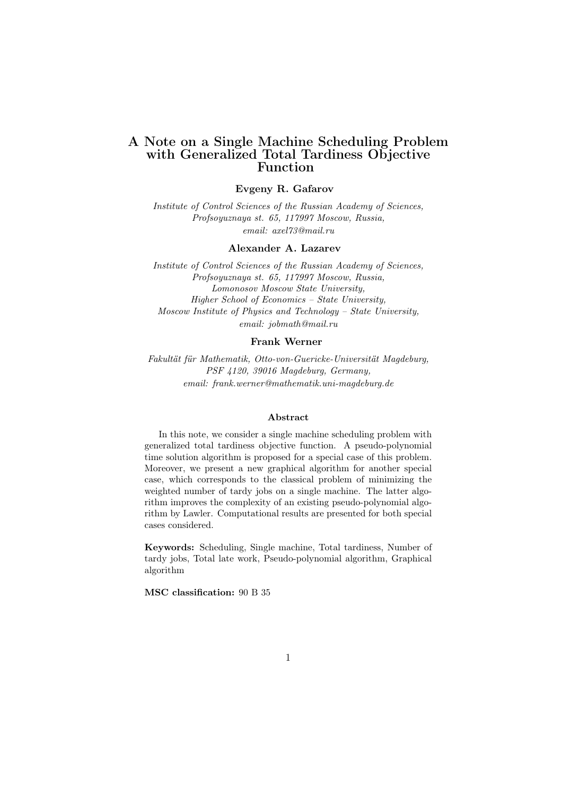## A Note on a Single Machine Scheduling Problem with Generalized Total Tardiness Objective Function

## Evgeny R. Gafarov

Institute of Control Sciences of the Russian Academy of Sciences, Profsoyuznaya st. 65, 117997 Moscow, Russia, email: axel73@mail.ru

#### Alexander A. Lazarev

Institute of Control Sciences of the Russian Academy of Sciences, Profsoyuznaya st. 65, 117997 Moscow, Russia, Lomonosov Moscow State University, Higher School of Economics – State University, Moscow Institute of Physics and Technology – State University, email: jobmath@mail.ru

#### Frank Werner

Fakultät für Mathematik, Otto-von-Guericke-Universität Magdeburg, PSF 4120, 39016 Magdeburg, Germany, email: frank.werner@mathematik.uni-magdeburg.de

#### Abstract

In this note, we consider a single machine scheduling problem with generalized total tardiness objective function. A pseudo-polynomial time solution algorithm is proposed for a special case of this problem. Moreover, we present a new graphical algorithm for another special case, which corresponds to the classical problem of minimizing the weighted number of tardy jobs on a single machine. The latter algorithm improves the complexity of an existing pseudo-polynomial algorithm by Lawler. Computational results are presented for both special cases considered.

Keywords: Scheduling, Single machine, Total tardiness, Number of tardy jobs, Total late work, Pseudo-polynomial algorithm, Graphical algorithm

MSC classification: 90 B 35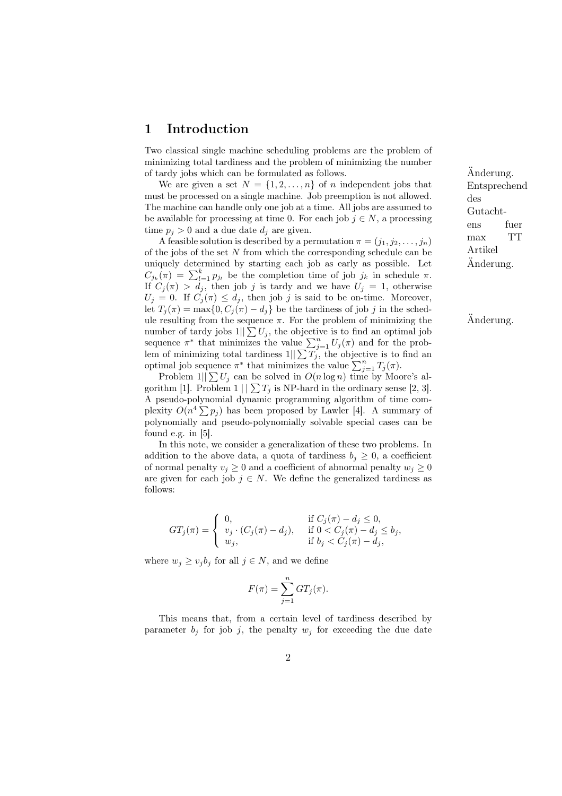## 1 Introduction

Two classical single machine scheduling problems are the problem of minimizing total tardiness and the problem of minimizing the number of tardy jobs which can be formulated as follows.  $\overline{A}$ nderung.

We are given a set  $N = \{1, 2, ..., n\}$  of n independent jobs that must be processed on a single machine. Job preemption is not allowed. The machine can handle only one job at a time. All jobs are assumed to be available for processing at time 0. For each job  $j \in N$ , a processing time  $p_j > 0$  and a due date  $d_j$  are given.

A feasible solution is described by a permutation  $\pi = (j_1, j_2, \ldots, j_n)$ of the jobs of the set  $N$  from which the corresponding schedule can be uniquely determined by starting each job as early as possible. Let uniquely determined by starting each job as early as possible. Let  $C_{j_k}(\pi) = \sum_{l=1}^k p_{j_l}$  be the completion time of job  $j_k$  in schedule  $\pi$ . If  $C_j(\pi) > d_j$ , then job j is tardy and we have  $U_j = 1$ , otherwise  $U_j = 0$ . If  $C_j(\pi) \leq d_j$ , then job j is said to be on-time. Moreover, let  $T_i(\pi) = \max\{0, C_i(\pi) - d_i\}$  be the tardiness of job j in the schedule resulting from the sequence  $\pi$ . For the problem of minimizing the  $\hat{A}$ nderung. number of tardy jobs  $1||\sum U_j$ , the objective is to find an optimal job number of tardy jobs  $1||\sum U_j$ , the objective is to find an optimal job<br>sequence  $\pi^*$  that minimizes the value  $\sum_{j=1}^n U_j(\pi)$  and for the prob-<br>lem of minimizing total tardiness  $1||\sum T_j$ , the objective is to find an For a minimizing total tardiness  $1||\sum I_j$ , the objective is to optimal job sequence  $\pi^*$  that minimizes the value  $\sum_{j=1}^n T_j(\pi)$ .

Problem  $1||\sum U_i$  can be solved in  $O(n \log n)$  time by Moore's algorithm [1]. Problem  $1 \mid \sum T_j$  is NP-hard in the ordinary sense [2, 3]. A pseudo-polynomial dynamic programming algorithm of time com-A pseudo-porynomial dynamic programming algorithm of time com-<br>plexity  $O(n^4 \sum p_j)$  has been proposed by Lawler [4]. A summary of polynomially and pseudo-polynomially solvable special cases can be found e.g. in [5].

In this note, we consider a generalization of these two problems. In addition to the above data, a quota of tardiness  $b_j \geq 0$ , a coefficient of normal penalty  $v_j \geq 0$  and a coefficient of abnormal penalty  $w_j \geq 0$ are given for each job  $j \in N$ . We define the generalized tardiness as follows:

$$
GT_j(\pi) = \begin{cases} 0, & \text{if } C_j(\pi) - d_j \le 0, \\ v_j \cdot (C_j(\pi) - d_j), & \text{if } 0 < C_j(\pi) - d_j \le b_j, \\ w_j, & \text{if } b_j < C_j(\pi) - d_j, \end{cases}
$$

where  $w_j \ge v_j b_j$  for all  $j \in N$ , and we define

$$
F(\pi) = \sum_{j=1}^{n} GT_j(\pi).
$$

This means that, from a certain level of tardiness described by parameter  $b_j$  for job j, the penalty  $w_j$  for exceeding the due date Entsprechend des Gutachtens fuer max TT Artikel Änderung.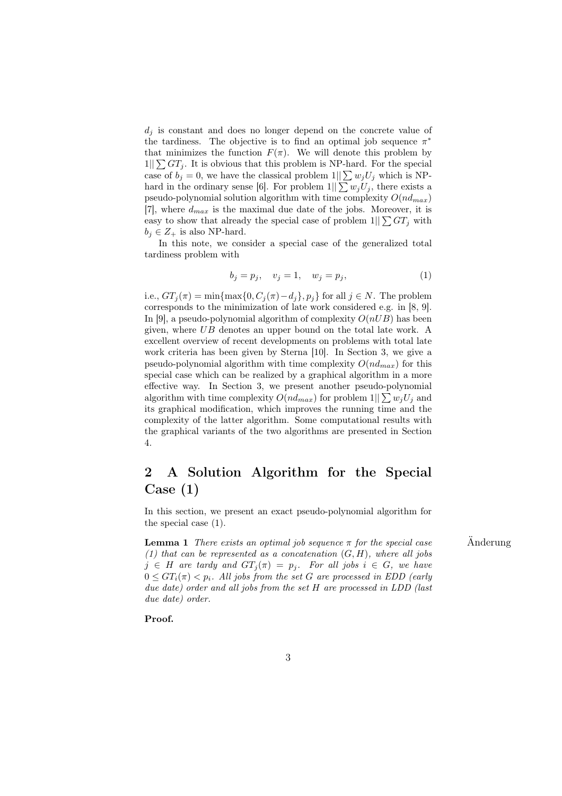$d_i$  is constant and does no longer depend on the concrete value of the tardiness. The objective is to find an optimal job sequence  $\pi^*$ that minimizes the function  $F(\pi)$ . We will denote this problem by  $1||\sum GT_i$ . It is obvious that this problem is NP-hard. For the special case of  $b_j = 0$ , we have the classical problem  $1||\sum w_j U_j$  which is NPhard in the ordinary sense [6]. For problem  $1||\sum w_j U_j$ , there exists a pseudo-polynomial solution algorithm with time complexity  $O(nd_{max})$  $|7|$ , where  $d_{max}$  is the maximal due date of the jobs. Moreover, it is easy to show that already the special case of problem  $1||\sum GT_j$  with  $b_j \in Z_+$  is also NP-hard.

In this note, we consider a special case of the generalized total tardiness problem with

$$
b_j = p_j, \quad v_j = 1, \quad w_j = p_j,\tag{1}
$$

i.e.,  $GT_i(\pi) = \min\{\max\{0, C_i(\pi) - d_i\}, p_i\}$  for all  $j \in N$ . The problem corresponds to the minimization of late work considered e.g. in [8, 9]. In [9], a pseudo-polynomial algorithm of complexity  $O(nUB)$  has been given, where UB denotes an upper bound on the total late work. A excellent overview of recent developments on problems with total late work criteria has been given by Sterna [10]. In Section 3, we give a pseudo-polynomial algorithm with time complexity  $O(nd_{max})$  for this special case which can be realized by a graphical algorithm in a more effective way. In Section 3, we present another pseudo-polynomial algorithm with time complexity  $O(nd_{max})$  for problem  $1||\sum w_i U_i$  and its graphical modification, which improves the running time and the complexity of the latter algorithm. Some computational results with the graphical variants of the two algorithms are presented in Section 4.

# 2 A Solution Algorithm for the Special Case (1)

In this section, we present an exact pseudo-polynomial algorithm for the special case (1).

**Lemma 1** There exists an optimal job sequence  $\pi$  for the special case  $\ddot{\text{A}}$  Anderung (1) that can be represented as a concatenation  $(G, H)$ , where all jobs  $j \in H$  are tardy and  $GT_j(\pi) = p_j$ . For all jobs  $i \in G$ , we have  $0 \leq GT_i(\pi) < p_i$ . All jobs from the set G are processed in EDD (early due date) order and all jobs from the set H are processed in LDD (last due date) order.

### Proof.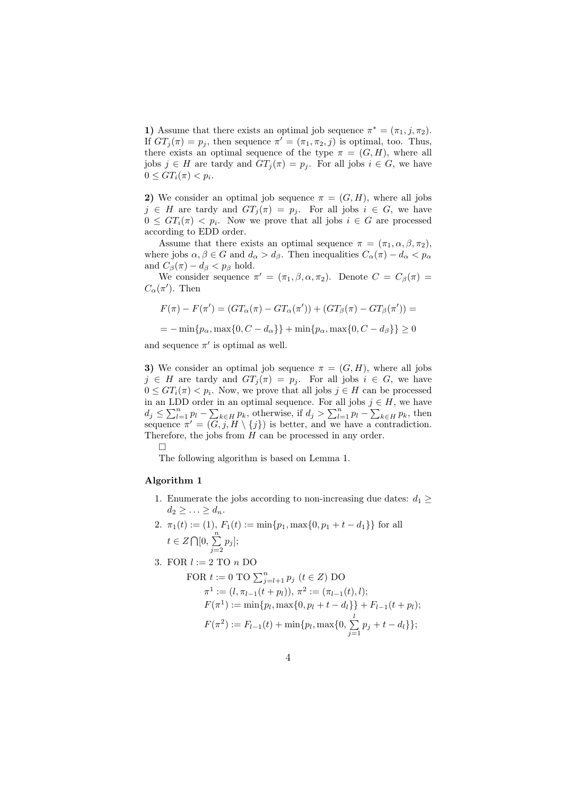1) Assume that there exists an optimal job sequence  $\pi^* = (\pi_1, j, \pi_2)$ . If  $GT_j(\pi) = p_j$ , then sequence  $\pi' = (\pi_1, \pi_2, j)$  is optimal, too. Thus, there exists an optimal sequence of the type  $\pi = (G, H)$ , where all jobs  $j \in H$  are tardy and  $GT_i(\pi) = p_i$ . For all jobs  $i \in G$ , we have  $0 \leq GT_i(\pi) < p_i.$ 

2) We consider an optimal job sequence  $\pi = (G, H)$ , where all jobs  $j \in H$  are tardy and  $GT_j(\pi) = p_j$ . For all jobs  $i \in G$ , we have  $0 \leq GT_i(\pi) < p_i$ . Now we prove that all jobs  $i \in G$  are processed according to EDD order.

Assume that there exists an optimal sequence  $\pi = (\pi_1, \alpha, \beta, \pi_2)$ , where jobs  $\alpha, \beta \in G$  and  $d_{\alpha} > d_{\beta}$ . Then inequalities  $C_{\alpha}(\pi) - d_{\alpha} < p_{\alpha}$ and  $C_\beta(\pi) - d_\beta < p_\beta$  hold.

We consider sequence  $\pi' = (\pi_1, \beta, \alpha, \pi_2)$ . Denote  $C = C_{\beta}(\pi) =$  $C_{\alpha}(\pi')$ . Then

$$
F(\pi) - F(\pi') = (GT_\alpha(\pi) - GT_\alpha(\pi')) + (GT_\beta(\pi) - GT_\beta(\pi')) =
$$

 $=-\min\{p_{\alpha},\max\{0,C-d_{\alpha}\}\}+\min\{p_{\alpha},\max\{0,C-d_{\beta}\}\}\geq 0$ 

and sequence  $\pi'$  is optimal as well.

3) We consider an optimal job sequence  $\pi = (G, H)$ , where all jobs  $j \in H$  are tardy and  $GT_i(\pi) = p_i$ . For all jobs  $i \in G$ , we have  $0 \leq GT_i(\pi) < p_i$ . Now, we prove that all jobs  $j \in H$  can be processed in an LDD order in an optimal sequence. For all jobs  $j \in H$ , we have In an LDD order in an optimal sequence. For an jobs  $j \in R$ , we have  $d_j \le \sum_{l=1}^n p_l - \sum_{k \in H} p_k$ , otherwise, if  $d_j > \sum_{l=1}^n p_l - \sum_{k \in H} p_k$ , then sequence  $\pi' = (\overline{G}, \overline{j}, H \setminus \{j\})$  is better, and we have a contradiction. Therefore, the jobs from H can be processed in any order.

¤

The following algorithm is based on Lemma 1.

### Algorithm 1

- 1. Enumerate the jobs according to non-increasing due dates:  $d_1 \geq$  $d_2 \geq \ldots \geq d_n$ .
- 2.  $\pi_1(t) := (1), F_1(t) := \min\{p_1, \max\{0, p_1 + t d_1\}\}\$ for all  $t \in Z \cap [0, \sum_{i=1}^{n}$  $\sum_{j=2} p_j$ ];
- 3. FOR  $l := 2$  TO  $n$  DO

FOR 
$$
t := 0
$$
 TO  $\sum_{j=l+1}^{n} p_j$   $(t \in Z)$  DO  
\n
$$
\pi^1 := (l, \pi_{l-1}(t + p_l)), \pi^2 := (\pi_{l-1}(t), l);
$$
\n
$$
F(\pi^1) := \min\{p_l, \max\{0, p_l + t - d_l\}\} + F_{l-1}(t + p_l);
$$
\n
$$
F(\pi^2) := F_{l-1}(t) + \min\{p_l, \max\{0, \sum_{j=1}^l p_j + t - d_l\}\};
$$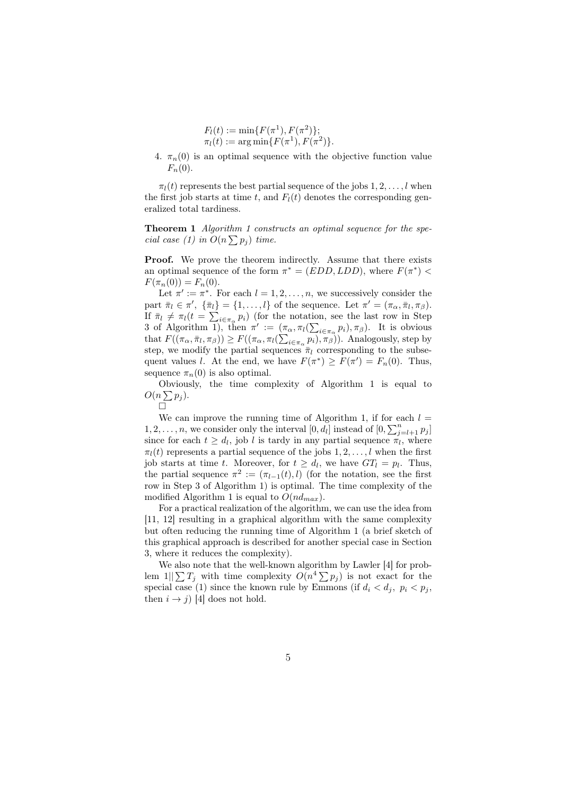$$
F_l(t) := \min\{F(\pi^1), F(\pi^2)\};
$$
  
\n
$$
\pi_l(t) := \arg \min\{F(\pi^1), F(\pi^2)\}.
$$

4.  $\pi_n(0)$  is an optimal sequence with the objective function value  $F_n(0)$ .

 $\pi_l(t)$  represents the best partial sequence of the jobs  $1, 2, \ldots, l$  when the first job starts at time t, and  $F_l(t)$  denotes the corresponding generalized total tardiness.

Theorem 1 Algorithm 1 constructs an optimal sequence for the spe-**Theorem 1** Algorium 1 const.<br>cial case (1) in  $O(n \sum p_j)$  time.

**Proof.** We prove the theorem indirectly. Assume that there exists an optimal sequence of the form  $\pi^* = (EDD, LDD)$ , where  $F(\pi^*)$  <  $F(\pi_n(0)) = F_n(0).$ 

Let  $\pi' := \pi^*$ . For each  $l = 1, 2, ..., n$ , we successively consider the part  $\bar{\pi}_l \in \pi'$ ,  $\{\bar{\pi}_l\} = \{1, \ldots, l\}$  of the sequence. Let  $\pi' = (\pi_\alpha, \bar{\pi}_l, \pi_\beta)$ . part  $\pi_l \in \pi$ ,  $\{\pi_l\}$ <br>If  $\bar{\pi}_l \neq \pi_l(t = \sum)$  $i\in\pi_{\alpha}$   $p_i$ ) (for the notation, see the last row in Step  $\lim_{n_l \to \infty} \pi_l(\ell) = \sum_{i \in \pi_\alpha} p_i$  (for the notation 3 of Algorithm 1), then  $\pi' := (\pi_\alpha, \pi_l(\sum$  $_{i\in\pi_{\alpha}} p_i$ ,  $\pi_{\beta}$ ). It is obvious s or Algorithm 1), then  $\pi := (\pi,$ <br>that  $F((\pi_{\alpha}, \bar{\pi}_l, \pi_{\beta})) \geq F((\pi_{\alpha}, \pi_l(\sum$  $_{i\in\pi_{\alpha}}p_{i}), \pi_{\beta}$ ). Analogously, step by step, we modify the partial sequences  $\bar{\pi}_l$  corresponding to the subsequent values l. At the end, we have  $F(\pi^*) \geq F(\pi') = F_n(0)$ . Thus, sequence  $\pi_n(0)$  is also optimal.

Obviously, the time complexity of Algorithm 1 is equal to  $O(n \sum p_j)$ .

 $\Box$ 

We can improve the running time of Algorithm 1, if for each  $l =$  $1, 2, \ldots, n$ , we consider only the interval  $[0, d_l]$  instead of  $[0, \sum_{j=l+1}^{n} p_j]$ since for each  $t \geq d_l$ , job l is tardy in any partial sequence  $\pi_l$ , where  $\pi_l(t)$  represents a partial sequence of the jobs  $1, 2, \ldots, l$  when the first job starts at time t. Moreover, for  $t \geq d_l$ , we have  $GT_l = p_l$ . Thus, the partial sequence  $\pi^2 := (\pi_{l-1}(t), l)$  (for the notation, see the first row in Step 3 of Algorithm 1) is optimal. The time complexity of the modified Algorithm 1 is equal to  $O(nd_{max})$ .

For a practical realization of the algorithm, we can use the idea from [11, 12] resulting in a graphical algorithm with the same complexity but often reducing the running time of Algorithm 1 (a brief sketch of this graphical approach is described for another special case in Section 3, where it reduces the complexity).

We also note that the well-known algorithm by Lawler [4] for problem  $1||\sum T_j$  with time complexity  $O(n^4 \sum p_j)$  is not exact for the special case (1) since the known rule by Emmons (if  $d_i < d_j$ ,  $p_i < p_j$ , then  $i \rightarrow j$  [4] does not hold.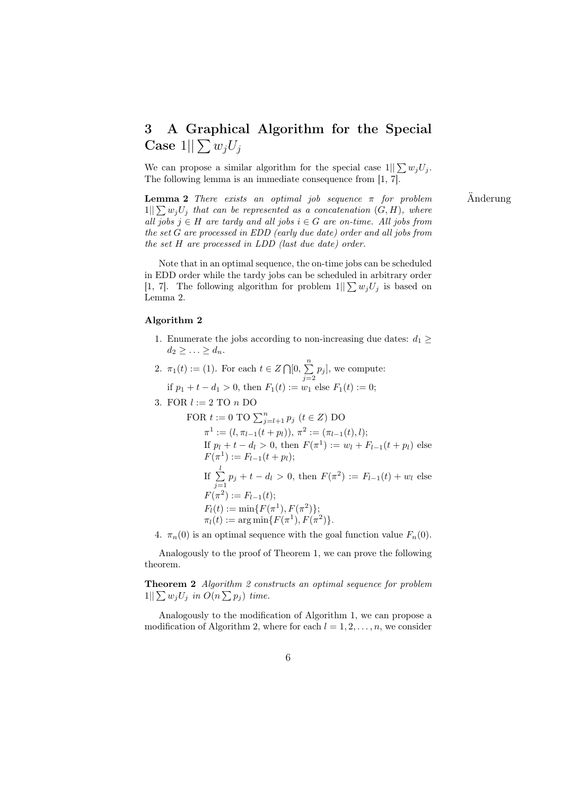# 3 A Graphical Algorithm for the Special Case  $1||\sum w_jU_j$

We can propose a similar algorithm for the special case  $1||\sum w_j U_j$ . The following lemma is an immediate consequence from [1, 7].

**Lemma 2** There exists an optimal job sequence  $\pi$  for problem  $\ddot{\text{A}}$  Anderung  $1||\sum w_i U_i$  that can be represented as a concatenation  $(G, H)$ , where all jobs  $j \in H$  are tardy and all jobs  $i \in G$  are on-time. All jobs from the set G are processed in EDD (early due date) order and all jobs from the set H are processed in LDD (last due date) order.

Note that in an optimal sequence, the on-time jobs can be scheduled in EDD order while the tardy jobs can be scheduled in arbitrary order [1, 7]. The following algorithm for problem  $1||\sum w_j U_j$  is based on Lemma 2.

#### Algorithm 2

- 1. Enumerate the jobs according to non-increasing due dates:  $d_1 \geq$  $d_2 \geq \ldots \geq d_n.$
- 2.  $\pi_1(t) := (1)$ . For each  $t \in Z \cap [0, \sum_{i=1}^{n}$  $\sum_{j=2} p_j$ , we compute: if  $p_1 + t - d_1 > 0$ , then  $F_1(t) := w_1$  else  $F_1(t) := 0$ ;
- 3. FOR  $l := 2$  TO  $n$  DO

FOR 
$$
t := 0
$$
 TO  $\sum_{j=l+1}^{n} p_j$   $(t \in Z)$  DO  
\n $\pi^1 := (l, \pi_{l-1}(t + p_l)), \pi^2 := (\pi_{l-1}(t), l);$   
\nIf  $p_l + t - d_l > 0$ , then  $F(\pi^1) := w_l + F_{l-1}(t + p_l)$  else  
\n $F(\pi^1) := F_{l-1}(t + p_l);$   
\nIf  $\sum_{j=1}^{l} p_j + t - d_l > 0$ , then  $F(\pi^2) := F_{l-1}(t) + w_l$  else  
\n $F(\pi^2) := F_{l-1}(t);$   
\n $F_l(t) := \min\{F(\pi^1), F(\pi^2)\};$   
\n $\pi_l(t) := \arg \min\{F(\pi^1), F(\pi^2)\}.$ 

4.  $\pi_n(0)$  is an optimal sequence with the goal function value  $F_n(0)$ .

Analogously to the proof of Theorem 1, we can prove the following theorem.

Theorem 2 Algorithm 2 constructs an optimal sequence for problem **Theorem 2** Algorithm 2 cons<br>  $1||\sum w_j U_j$  in  $O(n \sum p_j)$  time.

Analogously to the modification of Algorithm 1, we can propose a modification of Algorithm 2, where for each  $l = 1, 2, \ldots, n$ , we consider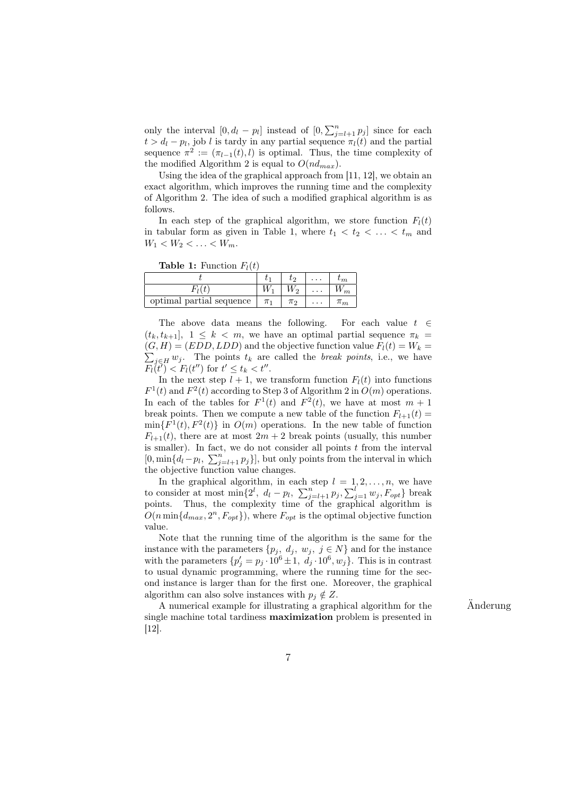only the interval  $[0, d_l - p_l]$  instead of  $[0, \sum_{j=l+1}^n p_j]$  since for each  $t > d_l - p_l$ , job l is tardy in any partial sequence  $\pi_l(t)$  and the partial sequence  $\pi^2 := (\pi_{l-1}(t), l)$  is optimal. Thus, the time complexity of the modified Algorithm 2 is equal to  $O(nd_{max})$ .

Using the idea of the graphical approach from [11, 12], we obtain an exact algorithm, which improves the running time and the complexity of Algorithm 2. The idea of such a modified graphical algorithm is as follows.

In each step of the graphical algorithm, we store function  $F_l(t)$ in tabular form as given in Table 1, where  $t_1 < t_2 < \ldots < t_m$  and  $W_1 < W_2 < \ldots < W_m$ .

**Table 1:** Function  $F_i(t)$ 

| $-1$ $-1$                |         |       |   |                |
|--------------------------|---------|-------|---|----------------|
|                          |         | lэ    |   | ∤m             |
|                          |         |       | . |                |
| optimal partial sequence | $\pi_1$ | $\pi$ | . | $\mathfrak{m}$ |

The above data means the following. For each value  $t \in$  $(t_k, t_{k+1}], 1 \leq k < m$ , we have an optimal partial sequence  $\pi_k =$  $(G, H) = (EDD, LDD)$  and the objective function value  $F_l(t) = W_k =$  $j \in H$  wj. The points  $t_k$  are called the *break points*, i.e., we have  $\overline{F_l}(t') < F_l(t'')$  for  $t' \leq t_k < t''$ .

In the next step  $l + 1$ , we transform function  $F_l(t)$  into functions  $F^1(t)$  and  $F^2(t)$  according to Step 3 of Algorithm 2 in  $O(m)$  operations. In each of the tables for  $F^1(t)$  and  $F^2(t)$ , we have at most  $m+1$ break points. Then we compute a new table of the function  $F_{l+1}(t) =$  $\min\{F^1(t), F^2(t)\}\$ in  $O(m)$  operations. In the new table of function  $F_{l+1}(t)$ , there are at most  $2m+2$  break points (usually, this number is smaller). In fact, we do not consider all points t from the interval<br> $\Omega$  win  $\Omega$ ,  $\mathbb{R}^n$  and  $\mathbb{R}^n$  and  $\Omega$  but only neight from the interval in which [0, min $\{d_l - p_l, \sum_{j=l+1}^n p_j\}$ ], but only points from the interval in which the objective function value changes.

In the graphical algorithm, in each step  $l = 1, 2, \ldots, n$ , we have In the graphical algorithm, in each step  $i = 1, 2, ..., n$ , we have<br>to consider at most  $\min\{2^l, d_l - p_l, \sum_{j=l+1}^n p_j, \sum_{j=1}^l w_j, F_{opt}\}\)$  break points. Thus, the complexity time of the graphical algorithm is  $O(n \min\{d_{max}, 2^n, F_{opt}\})$ , where  $F_{opt}$  is the optimal objective function value.

Note that the running time of the algorithm is the same for the instance with the parameters  $\{p_j, d_j, w_j, j \in N\}$  and for the instance with the parameters  $\{p'_j = p_j \cdot 10^6 \pm 1, d_j \cdot 10^6, w_j\}$ . This is in contrast to usual dynamic programming, where the running time for the second instance is larger than for the first one. Moreover, the graphical algorithm can also solve instances with  $p_i \notin Z$ .

A numerical example for illustrating a graphical algorithm for the  $\ddot{A}$ nderung single machine total tardiness maximization problem is presented in [12].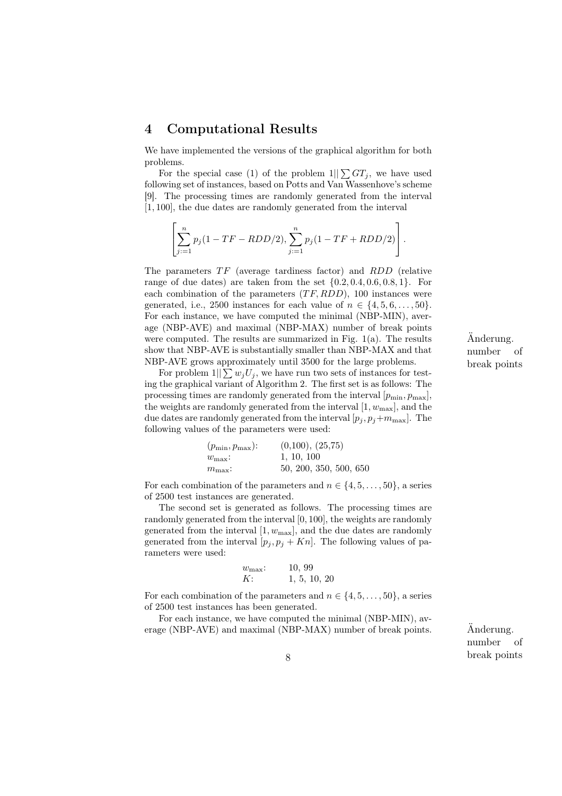# 4 Computational Results

We have implemented the versions of the graphical algorithm for both problems.

For the special case (1) of the problem  $1||\sum GT_i$ , we have used following set of instances, based on Potts and Van Wassenhove's scheme [9]. The processing times are randomly generated from the interval [1, 100], the due dates are randomly generated from the interval

$$
\left[\sum_{j:=1}^{n} p_j(1 - TF - RDD/2), \sum_{j:=1}^{n} p_j(1 - TF + RDD/2)\right].
$$

The parameters  $TF$  (average tardiness factor) and  $RDD$  (relative range of due dates) are taken from the set  $\{0.2, 0.4, 0.6, 0.8, 1\}$ . For each combination of the parameters  $(TF, RDD)$ , 100 instances were generated, i.e., 2500 instances for each value of  $n \in \{4, 5, 6, \ldots, 50\}$ . For each instance, we have computed the minimal (NBP-MIN), average (NBP-AVE) and maximal (NBP-MAX) number of break points were computed. The results are summarized in Fig.  $1(a)$ . The results Anderung. show that NBP-AVE is substantially smaller than NBP-MAX and that NBP-AVE grows approximately until 3500 for the large problems.

For problem  $1||\sum w_i U_i$ , we have run two sets of instances for testing the graphical variant of Algorithm 2. The first set is as follows: The processing times are randomly generated from the interval  $[p_{\min}, p_{\max}]$ , the weights are randomly generated from the interval  $[1, w_{\text{max}}]$ , and the due dates are randomly generated from the interval  $[p_j, p_j+m_{\text{max}}]$ . The following values of the parameters were used:

| $(p_{\min}, p_{\max})$ : | (0,100), (25,75)       |
|--------------------------|------------------------|
| $w_{\text{max}}$ :       | 1, 10, 100             |
| $m_{\text{max}}$ :       | 50, 200, 350, 500, 650 |

For each combination of the parameters and  $n \in \{4, 5, \ldots, 50\}$ , a series of 2500 test instances are generated.

The second set is generated as follows. The processing times are randomly generated from the interval [0, 100], the weights are randomly generated from the interval  $[1, w_{\text{max}}]$ , and the due dates are randomly generated from the interval  $[p_j, p_j + Kn]$ . The following values of parameters were used:

$$
w_{\text{max}}
$$
: 10, 99  
K: 1, 5, 10, 20

For each combination of the parameters and  $n \in \{4, 5, \ldots, 50\}$ , a series of 2500 test instances has been generated.

For each instance, we have computed the minimal (NBP-MIN), average (NBP-AVE) and maximal (NBP-MAX) number of break points.  $\ddot{A}$ nderung.

number of break points 8

number of break points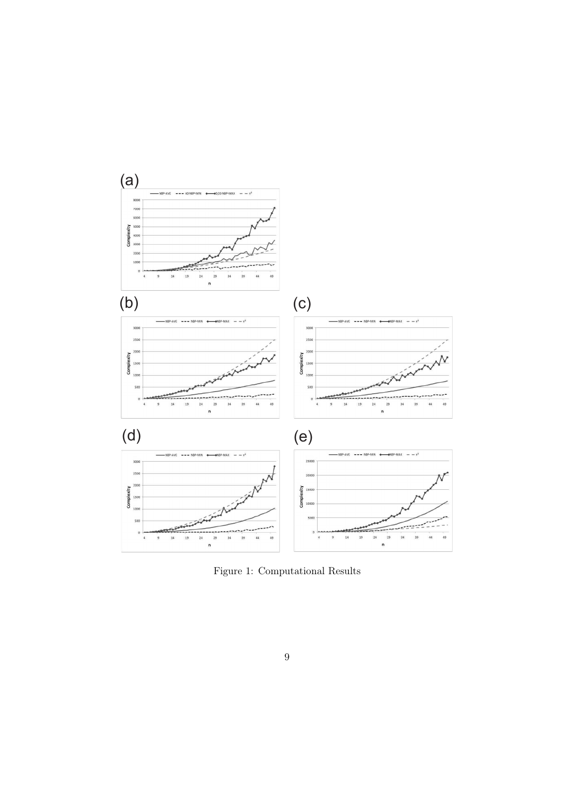

Figure 1: Computational Results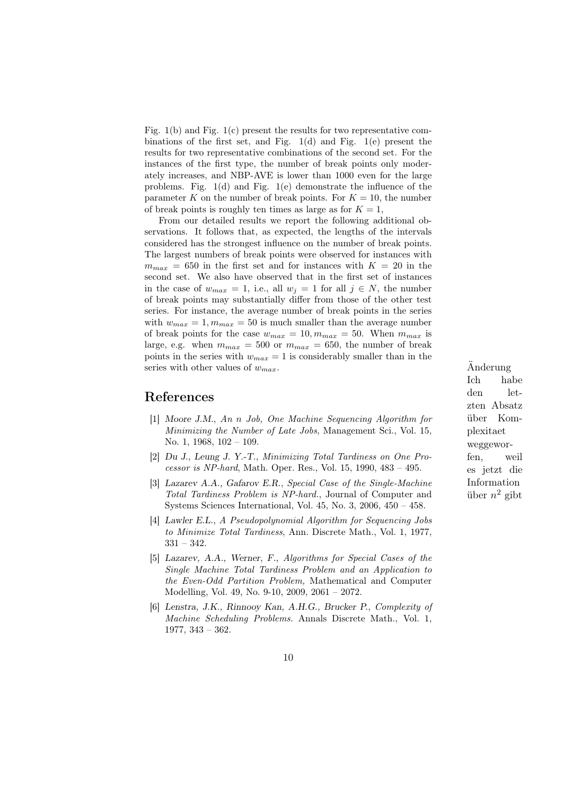Fig. 1(b) and Fig. 1(c) present the results for two representative combinations of the first set, and Fig. 1(d) and Fig. 1(e) present the results for two representative combinations of the second set. For the instances of the first type, the number of break points only moderately increases, and NBP-AVE is lower than 1000 even for the large problems. Fig. 1(d) and Fig. 1(e) demonstrate the influence of the parameter K on the number of break points. For  $K = 10$ , the number of break points is roughly ten times as large as for  $K = 1$ ,

From our detailed results we report the following additional observations. It follows that, as expected, the lengths of the intervals considered has the strongest influence on the number of break points. The largest numbers of break points were observed for instances with  $m_{max}$  = 650 in the first set and for instances with  $K = 20$  in the second set. We also have observed that in the first set of instances in the case of  $w_{max} = 1$ , i.e., all  $w_j = 1$  for all  $j \in N$ , the number of break points may substantially differ from those of the other test series. For instance, the average number of break points in the series with  $w_{max} = 1, m_{max} = 50$  is much smaller than the average number of break points for the case  $w_{max} = 10, m_{max} = 50$ . When  $m_{max}$  is large, e.g. when  $m_{max} = 500$  or  $m_{max} = 650$ , the number of break points in the series with  $w_{max} = 1$  is considerably smaller than in the series with other values of  $w_{max}$ . Anderung

## References

- [1] Moore J.M., An n Job, One Machine Sequencing Algorithm for Minimizing the Number of Late Jobs, Management Sci., Vol. 15, No. 1, 1968, 102 – 109.
- [2] Du J., Leung J. Y.-T., Minimizing Total Tardiness on One Processor is NP-hard, Math. Oper. Res., Vol. 15, 1990, 483 – 495.
- [3] Lazarev A.A., Gafarov E.R., Special Case of the Single-Machine Total Tardiness Problem is NP-hard., Journal of Computer and Systems Sciences International, Vol. 45, No. 3, 2006, 450 – 458.
- [4] Lawler E.L., A Pseudopolynomial Algorithm for Sequencing Jobs to Minimize Total Tardiness, Ann. Discrete Math., Vol. 1, 1977, 331 – 342.
- [5] Lazarev, A.A., Werner, F., Algorithms for Special Cases of the Single Machine Total Tardiness Problem and an Application to the Even-Odd Partition Problem, Mathematical and Computer Modelling, Vol. 49, No. 9-10, 2009, 2061 – 2072.
- [6] Lenstra, J.K., Rinnooy Kan, A.H.G., Brucker P., Complexity of Machine Scheduling Problems. Annals Discrete Math., Vol. 1, 1977, 343 – 362.

Ich habe den letzten Absatz ¨uber Komplexitaet weggeworfen, weil es jetzt die Information über  $n^2$  gibt